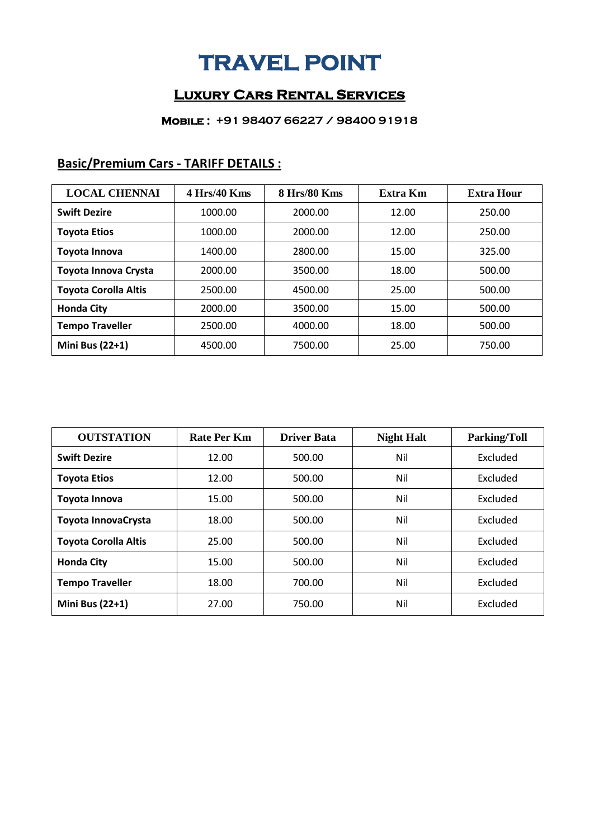## **TRAVEL POINT**

### **Luxury Cars Rental Services**

#### **Mobile : +91 98407 66227 / 98400 91918**

| <b>LOCAL CHENNAI</b>        | $4$ Hrs/40 Kms | 8 Hrs/80 Kms | Extra Km | <b>Extra Hour</b> |
|-----------------------------|----------------|--------------|----------|-------------------|
| <b>Swift Dezire</b>         | 1000.00        | 2000.00      | 12.00    | 250.00            |
| <b>Toyota Etios</b>         | 1000.00        | 2000.00      | 12.00    | 250.00            |
| Toyota Innova               | 1400.00        | 2800.00      | 15.00    | 325.00            |
| Toyota Innova Crysta        | 2000.00        | 3500.00      | 18.00    | 500.00            |
| <b>Toyota Corolla Altis</b> | 2500.00        | 4500.00      | 25.00    | 500.00            |
| <b>Honda City</b>           | 2000.00        | 3500.00      | 15.00    | 500.00            |
| <b>Tempo Traveller</b>      | 2500.00        | 4000.00      | 18.00    | 500.00            |
| Mini Bus (22+1)             | 4500.00        | 7500.00      | 25.00    | 750.00            |

## **Basic/Premium Cars - TARIFF DETAILS :**

| <b>OUTSTATION</b>           | Rate Per Km | <b>Driver Bata</b> | <b>Night Halt</b> | <b>Parking/Toll</b> |
|-----------------------------|-------------|--------------------|-------------------|---------------------|
| <b>Swift Dezire</b>         | 12.00       | 500.00             | Nil               | Excluded            |
| <b>Toyota Etios</b>         | 12.00       | 500.00             | Nil               | Excluded            |
| Toyota Innova               | 15.00       | 500.00             | Nil               | Excluded            |
| Toyota InnovaCrysta         | 18.00       | 500.00             | Nil               | Excluded            |
| <b>Toyota Corolla Altis</b> | 25.00       | 500.00             | Nil               | Excluded            |
| <b>Honda City</b>           | 15.00       | 500.00             | Nil               | Excluded            |
| <b>Tempo Traveller</b>      | 18.00       | 700.00             | Nil               | Excluded            |
| <b>Mini Bus (22+1)</b>      | 27.00       | 750.00             | Nil               | Excluded            |